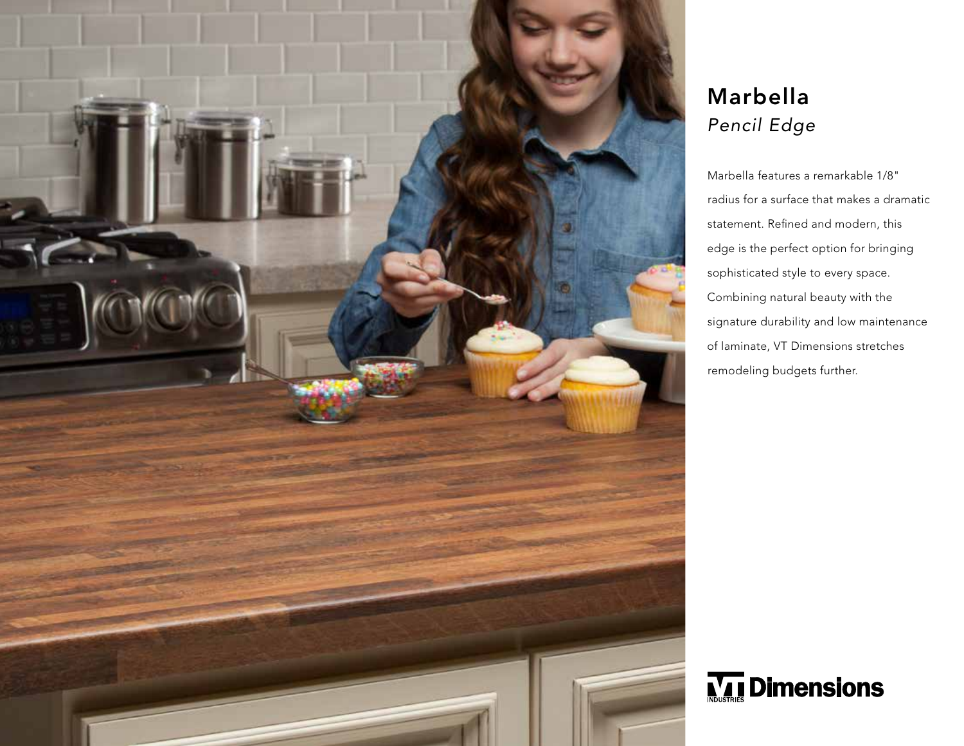

## Marbella *Pencil Edge*

Marbella features a remarkable 1/8" radius for a surface that makes a dramatic statement. Refined and modern, this edge is the perfect option for bringing sophisticated style to every space. Combining natural beauty with the signature durability and low maintenance of laminate, VT Dimensions stretches remodeling budgets further.